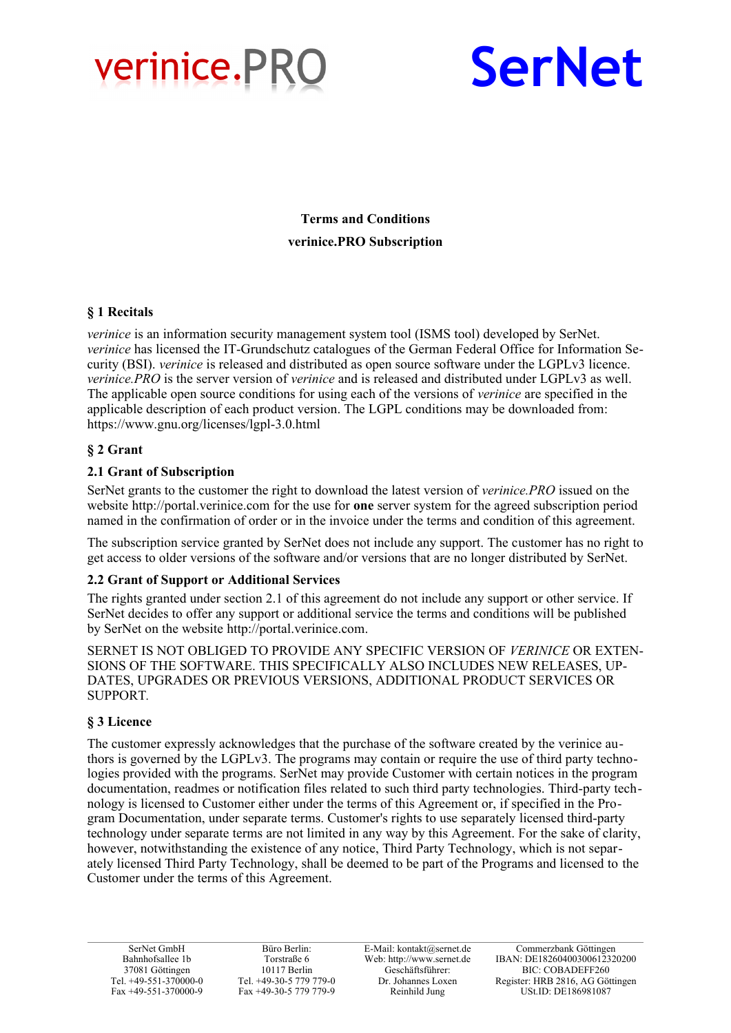



**Terms and Conditions verinice.PRO Subscription**

# **§ 1 Recitals**

*verinice* is an information security management system tool (ISMS tool) developed by SerNet. *verinice* has licensed the IT-Grundschutz catalogues of the German Federal Office for Information Security (BSI). *verinice* is released and distributed as open source software under the LGPLv3 licence. *verinice.PRO* is the server version of *verinice* and is released and distributed under LGPLv3 as well. The applicable open source conditions for using each of the versions of *verinice* are specified in the applicable description of each product version. The LGPL conditions may be downloaded from: https://www.gnu.org/licenses/lgpl-3.0.html

# **§ 2 Grant**

## **2.1 Grant of Subscription**

SerNet grants to the customer the right to download the latest version of *verinice.PRO* issued on the website http://portal.verinice.com for the use for **one** server system for the agreed subscription period named in the confirmation of order or in the invoice under the terms and condition of this agreement.

The subscription service granted by SerNet does not include any support. The customer has no right to get access to older versions of the software and/or versions that are no longer distributed by SerNet.

#### **2.2 Grant of Support or Additional Services**

The rights granted under section 2.1 of this agreement do not include any support or other service. If SerNet decides to offer any support or additional service the terms and conditions will be published by SerNet on the website http://portal.verinice.com.

SERNET IS NOT OBLIGED TO PROVIDE ANY SPECIFIC VERSION OF *VERINICE* OR EXTEN-SIONS OF THE SOFTWARE. THIS SPECIFICALLY ALSO INCLUDES NEW RELEASES, UP-DATES, UPGRADES OR PREVIOUS VERSIONS, ADDITIONAL PRODUCT SERVICES OR SUPPORT*.*

# **§ 3 Licence**

The customer expressly acknowledges that the purchase of the software created by the verinice authors is governed by the LGPLv3. The programs may contain or require the use of third party technologies provided with the programs. SerNet may provide Customer with certain notices in the program documentation, readmes or notification files related to such third party technologies. Third-party technology is licensed to Customer either under the terms of this Agreement or, if specified in the Program Documentation, under separate terms. Customer's rights to use separately licensed third-party technology under separate terms are not limited in any way by this Agreement. For the sake of clarity, however, notwithstanding the existence of any notice, Third Party Technology, which is not separately licensed Third Party Technology, shall be deemed to be part of the Programs and licensed to the Customer under the terms of this Agreement.

SerNet GmbH Bahnhofsallee 1b 37081 Göttingen Tel. +49-551-370000-0 Fax +49-551-370000-9

Büro Berlin: Torstraße 6 10117 Berlin Tel. +49-30-5 779 779-0 Fax +49-30-5 779 779-9

E-Mail: kontakt@sernet.de Web: http://www.sernet.de Geschäftsführer: Dr. Johannes Loxen Reinhild Jung

Commerzbank Göttingen IBAN: DE18260400300612320200 BIC: COBADEFF260 Register: HRB 2816, AG Göttingen USt.ID: DE186981087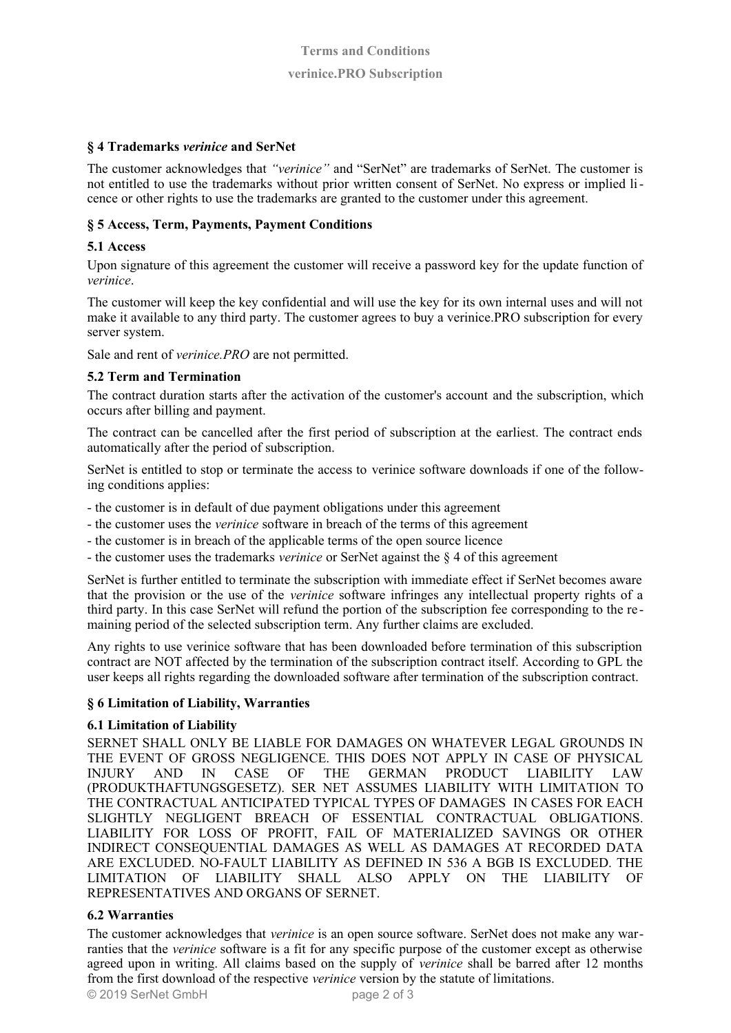## **§ 4 Trademarks** *verinice* **and SerNet**

The customer acknowledges that *"verinice"* and "SerNet" are trademarks of SerNet. The customer is not entitled to use the trademarks without prior written consent of SerNet. No express or implied licence or other rights to use the trademarks are granted to the customer under this agreement.

### **§ 5 Access, Term, Payments, Payment Conditions**

### **5.1 Access**

Upon signature of this agreement the customer will receive a password key for the update function of *verinice*.

The customer will keep the key confidential and will use the key for its own internal uses and will not make it available to any third party. The customer agrees to buy a verinice.PRO subscription for every server system.

Sale and rent of *verinice.PRO* are not permitted.

## **5.2 Term and Termination**

The contract duration starts after the activation of the customer's account and the subscription, which occurs after billing and payment.

The contract can be cancelled after the first period of subscription at the earliest. The contract ends automatically after the period of subscription.

SerNet is entitled to stop or terminate the access to verinice software downloads if one of the following conditions applies:

- the customer is in default of due payment obligations under this agreement
- the customer uses the *verinice* software in breach of the terms of this agreement
- the customer is in breach of the applicable terms of the open source licence
- the customer uses the trademarks *verinice* or SerNet against the § 4 of this agreement

SerNet is further entitled to terminate the subscription with immediate effect if SerNet becomes aware that the provision or the use of the *verinice* software infringes any intellectual property rights of a third party. In this case SerNet will refund the portion of the subscription fee corresponding to the re maining period of the selected subscription term. Any further claims are excluded.

Any rights to use verinice software that has been downloaded before termination of this subscription contract are NOT affected by the termination of the subscription contract itself. According to GPL the user keeps all rights regarding the downloaded software after termination of the subscription contract.

#### **§ 6 Limitation of Liability, Warranties**

#### **6.1 Limitation of Liability**

SERNET SHALL ONLY BE LIABLE FOR DAMAGES ON WHATEVER LEGAL GROUNDS IN THE EVENT OF GROSS NEGLIGENCE. THIS DOES NOT APPLY IN CASE OF PHYSICAL INJURY AND IN CASE OF THE GERMAN PRODUCT LIABILITY LAW INJURY AND IN CASE OF THE GERMAN PRODUCT LIABILITY LAW (PRODUKTHAFTUNGSGESETZ). SER NET ASSUMES LIABILITY WITH LIMITATION TO THE CONTRACTUAL ANTICIPATED TYPICAL TYPES OF DAMAGES IN CASES FOR EACH SLIGHTLY NEGLIGENT BREACH OF ESSENTIAL CONTRACTUAL OBLIGATIONS. LIABILITY FOR LOSS OF PROFIT, FAIL OF MATERIALIZED SAVINGS OR OTHER INDIRECT CONSEQUENTIAL DAMAGES AS WELL AS DAMAGES AT RECORDED DATA ARE EXCLUDED. NO-FAULT LIABILITY AS DEFINED IN 536 A BGB IS EXCLUDED. THE LIMITATION OF LIABILITY SHALL ALSO APPLY ON THE LIABILITY OF REPRESENTATIVES AND ORGANS OF SERNET.

### **6.2 Warranties**

The customer acknowledges that *verinice* is an open source software. SerNet does not make any warranties that the *verinice* software is a fit for any specific purpose of the customer except as otherwise agreed upon in writing. All claims based on the supply of *verinice* shall be barred after 12 months from the first download of the respective *verinice* version by the statute of limitations.